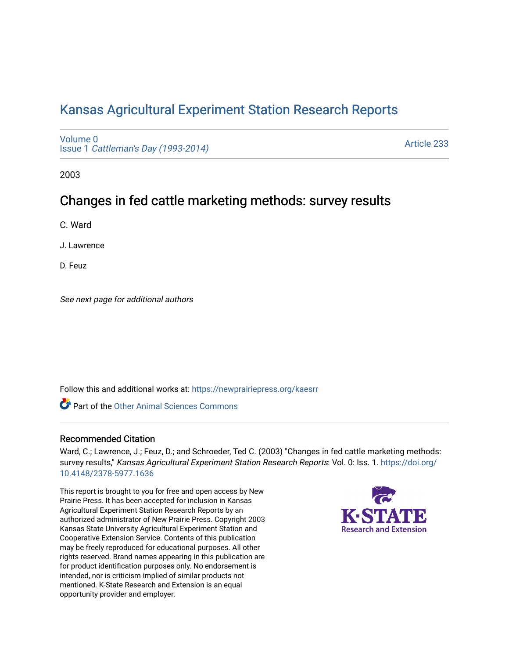# [Kansas Agricultural Experiment Station Research Reports](https://newprairiepress.org/kaesrr)

[Volume 0](https://newprairiepress.org/kaesrr/vol0) Issue 1 [Cattleman's Day \(1993-2014\)](https://newprairiepress.org/kaesrr/vol0/iss1) 

[Article 233](https://newprairiepress.org/kaesrr/vol0/iss1/233) 

2003

# Changes in fed cattle marketing methods: survey results

C. Ward

J. Lawrence

D. Feuz

See next page for additional authors

Follow this and additional works at: [https://newprairiepress.org/kaesrr](https://newprairiepress.org/kaesrr?utm_source=newprairiepress.org%2Fkaesrr%2Fvol0%2Fiss1%2F233&utm_medium=PDF&utm_campaign=PDFCoverPages) 

**C** Part of the [Other Animal Sciences Commons](http://network.bepress.com/hgg/discipline/82?utm_source=newprairiepress.org%2Fkaesrr%2Fvol0%2Fiss1%2F233&utm_medium=PDF&utm_campaign=PDFCoverPages)

### Recommended Citation

Ward, C.; Lawrence, J.; Feuz, D.; and Schroeder, Ted C. (2003) "Changes in fed cattle marketing methods: survey results," Kansas Agricultural Experiment Station Research Reports: Vol. 0: Iss. 1. [https://doi.org/](https://doi.org/10.4148/2378-5977.1636) [10.4148/2378-5977.1636](https://doi.org/10.4148/2378-5977.1636)

This report is brought to you for free and open access by New Prairie Press. It has been accepted for inclusion in Kansas Agricultural Experiment Station Research Reports by an authorized administrator of New Prairie Press. Copyright 2003 Kansas State University Agricultural Experiment Station and Cooperative Extension Service. Contents of this publication may be freely reproduced for educational purposes. All other rights reserved. Brand names appearing in this publication are for product identification purposes only. No endorsement is intended, nor is criticism implied of similar products not mentioned. K-State Research and Extension is an equal opportunity provider and employer.

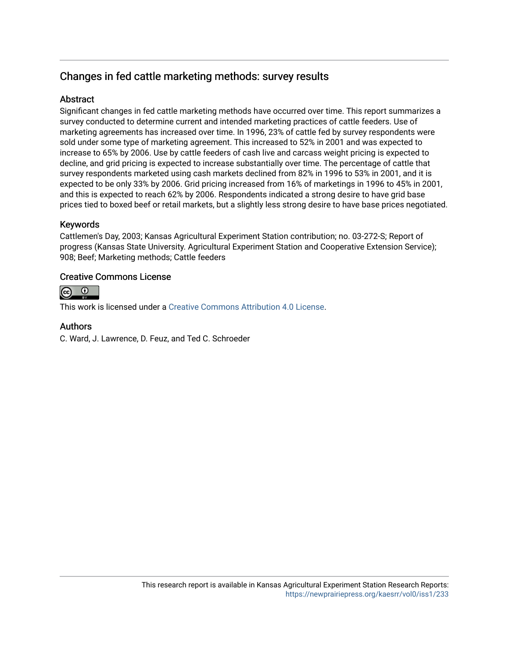## Changes in fed cattle marketing methods: survey results

### **Abstract**

Significant changes in fed cattle marketing methods have occurred over time. This report summarizes a survey conducted to determine current and intended marketing practices of cattle feeders. Use of marketing agreements has increased over time. In 1996, 23% of cattle fed by survey respondents were sold under some type of marketing agreement. This increased to 52% in 2001 and was expected to increase to 65% by 2006. Use by cattle feeders of cash live and carcass weight pricing is expected to decline, and grid pricing is expected to increase substantially over time. The percentage of cattle that survey respondents marketed using cash markets declined from 82% in 1996 to 53% in 2001, and it is expected to be only 33% by 2006. Grid pricing increased from 16% of marketings in 1996 to 45% in 2001, and this is expected to reach 62% by 2006. Respondents indicated a strong desire to have grid base prices tied to boxed beef or retail markets, but a slightly less strong desire to have base prices negotiated.

### Keywords

Cattlemen's Day, 2003; Kansas Agricultural Experiment Station contribution; no. 03-272-S; Report of progress (Kansas State University. Agricultural Experiment Station and Cooperative Extension Service); 908; Beef; Marketing methods; Cattle feeders

#### Creative Commons License



This work is licensed under a [Creative Commons Attribution 4.0 License](https://creativecommons.org/licenses/by/4.0/).

#### Authors

C. Ward, J. Lawrence, D. Feuz, and Ted C. Schroeder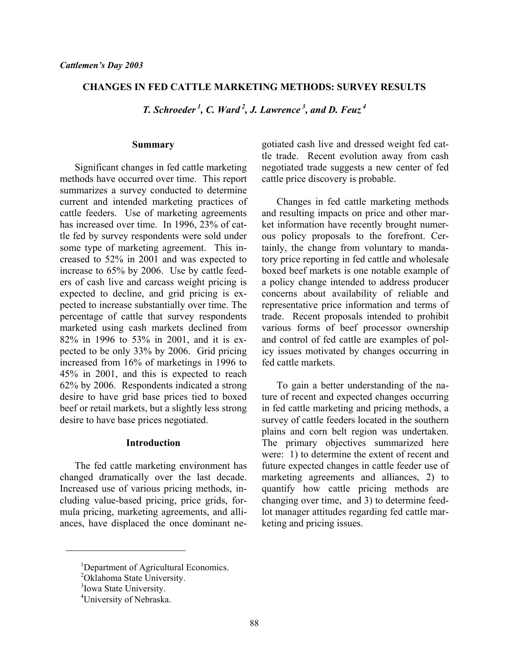#### **CHANGES IN FED CATTLE MARKETING METHODS: SURVEY RESULTS**

*T. Schroeder 1, C. Ward 2, J. Lawrence 3, and D. Feuz 4* 

#### **Summary**

Significant changes in fed cattle marketing methods have occurred over time. This report summarizes a survey conducted to determine current and intended marketing practices of cattle feeders. Use of marketing agreements has increased over time. In 1996, 23% of cattle fed by survey respondents were sold under some type of marketing agreement. This increased to 52% in 2001 and was expected to increase to 65% by 2006. Use by cattle feeders of cash live and carcass weight pricing is expected to decline, and grid pricing is expected to increase substantially over time. The percentage of cattle that survey respondents marketed using cash markets declined from 82% in 1996 to 53% in 2001, and it is expected to be only 33% by 2006. Grid pricing increased from 16% of marketings in 1996 to 45% in 2001, and this is expected to reach 62% by 2006. Respondents indicated a strong desire to have grid base prices tied to boxed beef or retail markets, but a slightly less strong desire to have base prices negotiated.

#### **Introduction**

 The fed cattle marketing environment has changed dramatically over the last decade. Increased use of various pricing methods, including value-based pricing, price grids, formula pricing, marketing agreements, and alliances, have displaced the once dominant negotiated cash live and dressed weight fed cattle trade. Recent evolution away from cash negotiated trade suggests a new center of fed cattle price discovery is probable.

 Changes in fed cattle marketing methods and resulting impacts on price and other market information have recently brought numerous policy proposals to the forefront. Certainly, the change from voluntary to mandatory price reporting in fed cattle and wholesale boxed beef markets is one notable example of a policy change intended to address producer concerns about availability of reliable and representative price information and terms of trade. Recent proposals intended to prohibit various forms of beef processor ownership and control of fed cattle are examples of policy issues motivated by changes occurring in fed cattle markets.

 To gain a better understanding of the nature of recent and expected changes occurring in fed cattle marketing and pricing methods, a survey of cattle feeders located in the southern plains and corn belt region was undertaken. The primary objectives summarized here were: 1) to determine the extent of recent and future expected changes in cattle feeder use of marketing agreements and alliances, 2) to quantify how cattle pricing methods are changing over time, and 3) to determine feedlot manager attitudes regarding fed cattle marketing and pricing issues.

 $\overline{a}$ 

<sup>&</sup>lt;sup>1</sup>Department of Agricultural Economics.

<sup>&</sup>lt;sup>2</sup>Oklahoma State University.

<sup>&</sup>lt;sup>3</sup>Iowa State University.

<sup>&</sup>lt;sup>4</sup>University of Nebraska.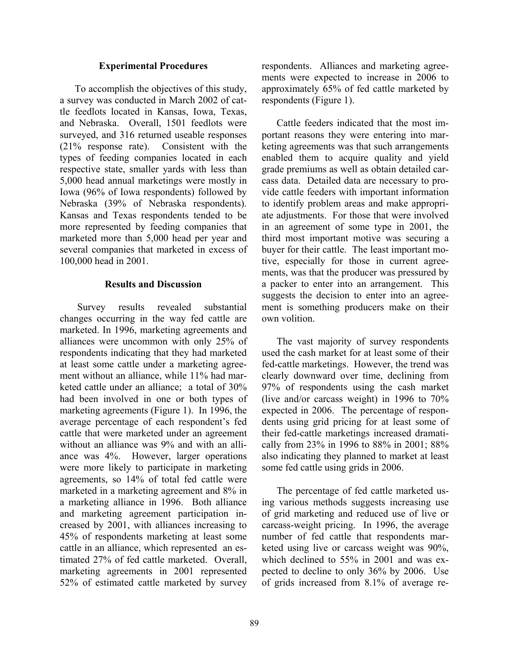#### **Experimental Procedures**

 To accomplish the objectives of this study, a survey was conducted in March 2002 of cattle feedlots located in Kansas, Iowa, Texas, and Nebraska. Overall, 1501 feedlots were surveyed, and 316 returned useable responses (21% response rate). Consistent with the types of feeding companies located in each respective state, smaller yards with less than 5,000 head annual marketings were mostly in Iowa (96% of Iowa respondents) followed by Nebraska (39% of Nebraska respondents). Kansas and Texas respondents tended to be more represented by feeding companies that marketed more than 5,000 head per year and several companies that marketed in excess of 100,000 head in 2001.

#### **Results and Discussion**

 Survey results revealed substantial changes occurring in the way fed cattle are marketed. In 1996, marketing agreements and alliances were uncommon with only 25% of respondents indicating that they had marketed at least some cattle under a marketing agreement without an alliance, while 11% had marketed cattle under an alliance; a total of 30% had been involved in one or both types of marketing agreements (Figure 1). In 1996, the average percentage of each respondent's fed cattle that were marketed under an agreement without an alliance was 9% and with an alliance was 4%. However, larger operations were more likely to participate in marketing agreements, so 14% of total fed cattle were marketed in a marketing agreement and 8% in a marketing alliance in 1996. Both alliance and marketing agreement participation increased by 2001, with alliances increasing to 45% of respondents marketing at least some cattle in an alliance, which represented an estimated 27% of fed cattle marketed. Overall, marketing agreements in 2001 represented 52% of estimated cattle marketed by survey

respondents. Alliances and marketing agreements were expected to increase in 2006 to approximately 65% of fed cattle marketed by respondents (Figure 1).

 Cattle feeders indicated that the most important reasons they were entering into marketing agreements was that such arrangements enabled them to acquire quality and yield grade premiums as well as obtain detailed carcass data. Detailed data are necessary to provide cattle feeders with important information to identify problem areas and make appropriate adjustments. For those that were involved in an agreement of some type in 2001, the third most important motive was securing a buyer for their cattle. The least important motive, especially for those in current agreements, was that the producer was pressured by a packer to enter into an arrangement. This suggests the decision to enter into an agreement is something producers make on their own volition.

 The vast majority of survey respondents used the cash market for at least some of their fed-cattle marketings. However, the trend was clearly downward over time, declining from 97% of respondents using the cash market (live and/or carcass weight) in 1996 to 70% expected in 2006. The percentage of respondents using grid pricing for at least some of their fed-cattle marketings increased dramatically from 23% in 1996 to 88% in 2001; 88% also indicating they planned to market at least some fed cattle using grids in 2006.

 The percentage of fed cattle marketed using various methods suggests increasing use of grid marketing and reduced use of live or carcass-weight pricing. In 1996, the average number of fed cattle that respondents marketed using live or carcass weight was 90%, which declined to 55% in 2001 and was expected to decline to only 36% by 2006. Use of grids increased from 8.1% of average re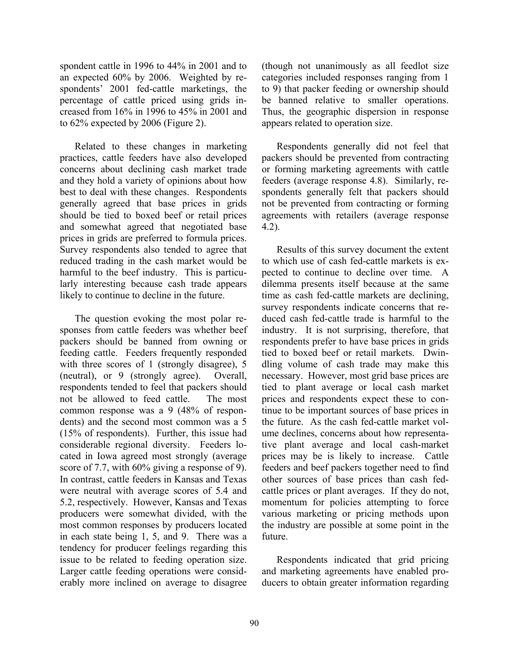spondent cattle in 1996 to 44% in 2001 and to an expected 60% by 2006. Weighted by respondents' 2001 fed-cattle marketings, the percentage of cattle priced using grids increased from 16% in 1996 to 45% in 2001 and to 62% expected by 2006 (Figure 2).

 Related to these changes in marketing practices, cattle feeders have also developed concerns about declining cash market trade and they hold a variety of opinions about how best to deal with these changes. Respondents generally agreed that base prices in grids should be tied to boxed beef or retail prices and somewhat agreed that negotiated base prices in grids are preferred to formula prices. Survey respondents also tended to agree that reduced trading in the cash market would be harmful to the beef industry. This is particularly interesting because cash trade appears likely to continue to decline in the future.

 The question evoking the most polar responses from cattle feeders was whether beef packers should be banned from owning or feeding cattle. Feeders frequently responded with three scores of 1 (strongly disagree), 5 (neutral), or 9 (strongly agree). Overall, respondents tended to feel that packers should not be allowed to feed cattle. The most common response was a 9 (48% of respondents) and the second most common was a 5 (15% of respondents). Further, this issue had considerable regional diversity. Feeders located in Iowa agreed most strongly (average score of 7.7, with 60% giving a response of 9). In contrast, cattle feeders in Kansas and Texas were neutral with average scores of 5.4 and 5.2, respectively. However, Kansas and Texas producers were somewhat divided, with the most common responses by producers located in each state being 1, 5, and 9. There was a tendency for producer feelings regarding this issue to be related to feeding operation size. Larger cattle feeding operations were considerably more inclined on average to disagree

(though not unanimously as all feedlot size categories included responses ranging from 1 to 9) that packer feeding or ownership should be banned relative to smaller operations. Thus, the geographic dispersion in response appears related to operation size.

 Respondents generally did not feel that packers should be prevented from contracting or forming marketing agreements with cattle feeders (average response 4.8). Similarly, respondents generally felt that packers should not be prevented from contracting or forming agreements with retailers (average response 4.2).

 Results of this survey document the extent to which use of cash fed-cattle markets is expected to continue to decline over time. A dilemma presents itself because at the same time as cash fed-cattle markets are declining, survey respondents indicate concerns that reduced cash fed-cattle trade is harmful to the industry. It is not surprising, therefore, that respondents prefer to have base prices in grids tied to boxed beef or retail markets. Dwindling volume of cash trade may make this necessary. However, most grid base prices are tied to plant average or local cash market prices and respondents expect these to continue to be important sources of base prices in the future. As the cash fed-cattle market volume declines, concerns about how representative plant average and local cash-market prices may be is likely to increase. Cattle feeders and beef packers together need to find other sources of base prices than cash fedcattle prices or plant averages. If they do not, momentum for policies attempting to force various marketing or pricing methods upon the industry are possible at some point in the future.

 Respondents indicated that grid pricing and marketing agreements have enabled producers to obtain greater information regarding